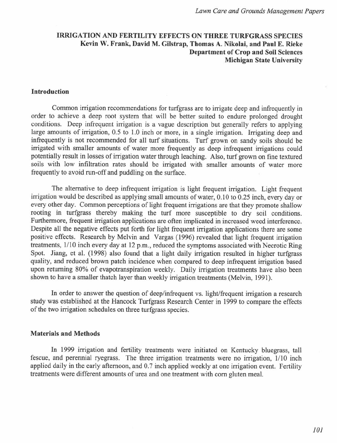# IRRIGATION AND FERTILITY EFFECTS ON THREE TURFGRASS SPECIES Kevin W. Frank, David M. Gilstrap, Thomas A. Nikolai, and Paul E. Rieke Department of Crop and Soil Sciences Michigan State University

#### Introduction

Common irrigation recommendations for turfgrass are to irrigate deep and infrequently in order to achieve a deep root system that will be better suited to endure prolonged drought conditions. Deep infrequent irrigation is a vague description but generally refers to applying large amounts of irrigation, 0.5 to 1.0 inch or more, in a single irrigation. Irrigating deep and infrequently is not recommended for all turf situations. Turf grown on sandy soils should be irrigated with smaller amounts of water more frequently as deep infrequent irrigations could potentially result in losses of irrigation water through leaching. Also, turf grown on fine textured soils with low infiltration rates should be irrigated with smaller amounts of water more frequently to avoid run-off and puddling on the surface.

The alternative to deep infrequent irrigation is light frequent irrigation. Light frequent irrigation would be described as applying small amounts of water, 0.10 to 0.25 inch, every day or every other day. Common perceptions of light frequent irrigations are that they promote shallow rooting in turfgrass thereby making the turf more susceptible to dry soil conditions. Furthermore, frequent irrigation applications are often implicated in increased weed interference. Despite all the negative effects put forth for light frequent irrigation applications there are some positive effects. Research by Melvin and Vargas (1996) revealed that light frequent irrigation treatments, 1/10 inch every day at 12 p.m., reduced the symptoms associated with Necrotic Ring Spot. Jiang, et al. (1998) also found that a light daily irrigation resulted in higher turfgrass quality, and reduced brown patch incidence when compared to deep infrequent irrigation based upon returning 80% of evapotranspiration weekly. Daily irrigation treatments have also been shown to have a smaller thatch layer than weekly irrigation treatments (Melvin, 1991).

In order to answer the question of deep/infrequent vs. light/frequent irrigation a research study was established at the Hancock Turfgrass Research Center in 1999 to compare the effects of the two irrigation schedules on three turfgrass species.

#### Materials and Methods

In 1999 irrigation and fertility treatments were initiated on Kentucky bluegrass, tall fescue, and perennial ryegrass. The three irrigation treatments were no irrigation, 1/10 inch applied daily in the early afternoon, and 0.7 inch applied weekly at one irrigation event. Fertility treatments were different amounts of urea and one treatment with com gluten meal.